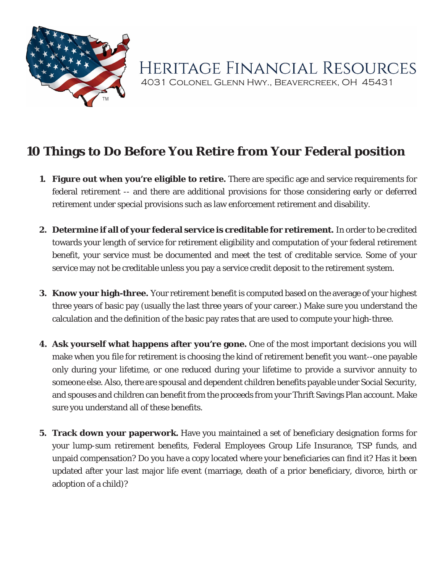

HERITAGE FINANCIAL RESOURCES 4031 Colonel Glenn Hwy., Beavercreek, OH 45431

## **10 Things to Do Before You Retire from Your Federal position**

- **1. Figure out when you're eligible to retire.** There are specific age and service requirements for federal retirement -- and there are additional provisions for those considering early or deferred retirement under special provisions such as law enforcement retirement and disability.
- **2. Determine if all of your federal service is creditable for retirement.** In order to be credited towards your length of service for retirement eligibility and computation of your federal retirement benefit, your service must be documented and meet the test of creditable service. Some of your service may not be creditable unless you pay a service credit deposit to the retirement system.
- **3. Know your high-three.** Your retirement benefit is computed based on the average of your highest three years of basic pay (usually the last three years of your career.) Make sure you understand the calculation and the definition of the basic pay rates that are used to compute your high-three.
- **4. Ask yourself what happens after you're gone.** One of the most important decisions you will make when you file for retirement is choosing the kind of retirement benefit you want--one payable only during your lifetime, or one reduced during your lifetime to provide a survivor annuity to someone else. Also, there are spousal and dependent children benefits payable under Social Security, and spouses and children can benefit from the proceeds from your Thrift Savings Plan account. Make sure you understand all of these benefits.
- **5. Track down your paperwork.** Have you maintained a set of beneficiary designation forms for your lump-sum retirement benefits, Federal Employees Group Life Insurance, TSP funds, and unpaid compensation? Do you have a copy located where your beneficiaries can find it? Has it been updated after your last major life event (marriage, death of a prior beneficiary, divorce, birth or adoption of a child)?